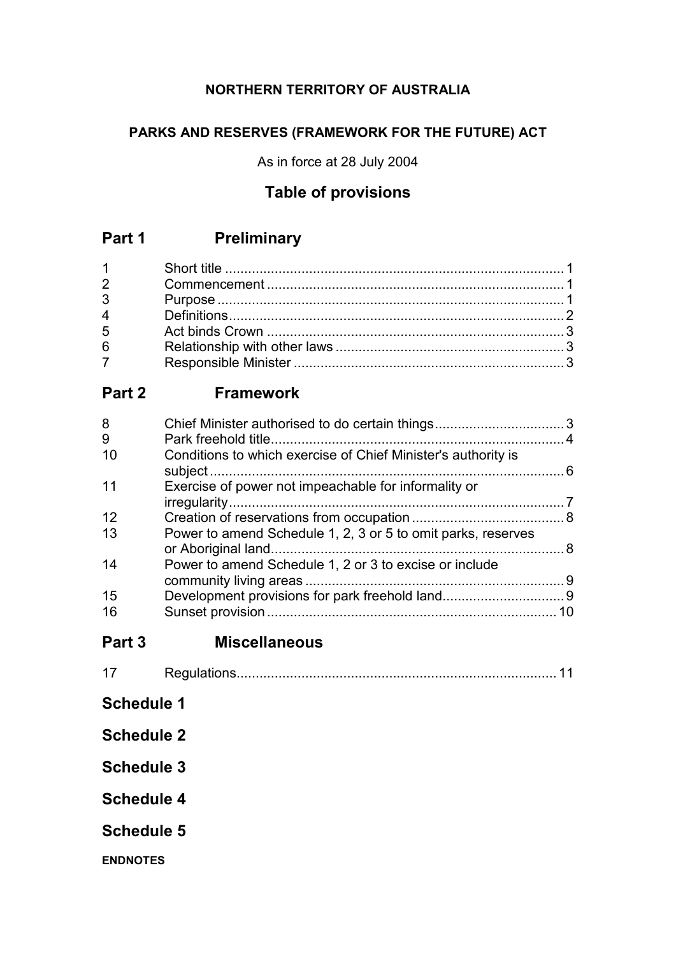## **NORTHERN TERRITORY OF AUSTRALIA**

## **PARKS AND RESERVES (FRAMEWORK FOR THE FUTURE) ACT**

As in force at 28 July 2004

# **Table of provisions**

# **Part 1 Preliminary**

| $1 \quad \Box$ |  |
|----------------|--|
| $\overline{2}$ |  |
| $3^{\circ}$    |  |
| $\overline{4}$ |  |
| 5              |  |
| 6              |  |
|                |  |

# **Part 2 Framework**

| 8<br>9 |                                                               |    |
|--------|---------------------------------------------------------------|----|
| 10     | Conditions to which exercise of Chief Minister's authority is |    |
| 11     | Exercise of power not impeachable for informality or          |    |
| 12     |                                                               |    |
| 13     | Power to amend Schedule 1, 2, 3 or 5 to omit parks, reserves  |    |
| 14     | Power to amend Schedule 1, 2 or 3 to excise or include        |    |
| 15     |                                                               |    |
| 16     |                                                               | 10 |
|        |                                                               |    |

**Part 3 Miscellaneous**

| ◢ |  |  |  |
|---|--|--|--|
|---|--|--|--|

- **Schedule 1**
- **Schedule 2**
- **Schedule 3**
- **Schedule 4**
- **Schedule 5**
- **ENDNOTES**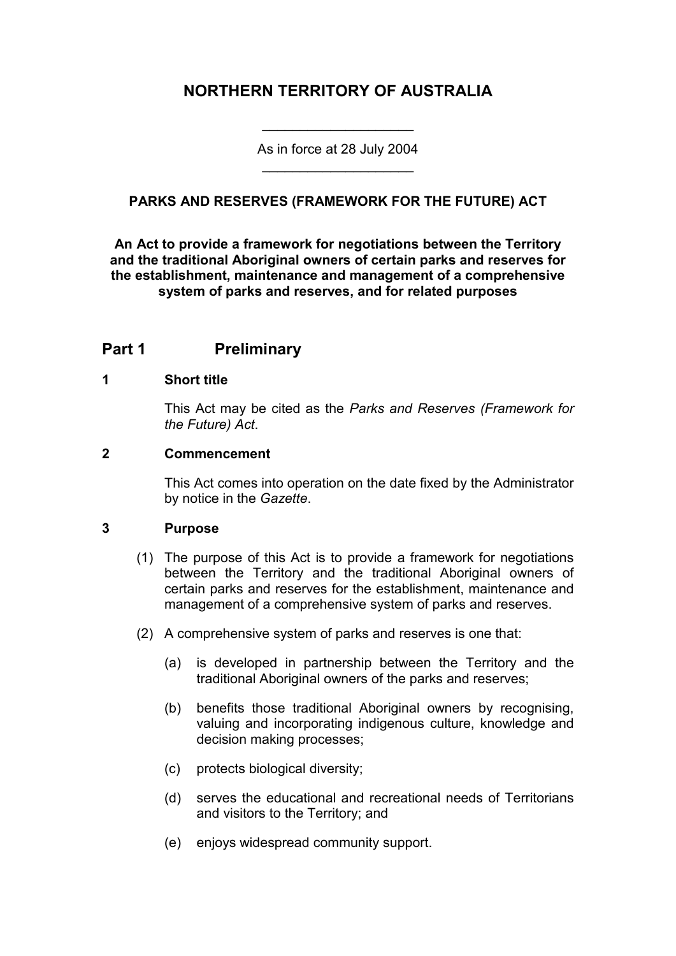## **NORTHERN TERRITORY OF AUSTRALIA**

As in force at 28 July 2004 \_\_\_\_\_\_\_\_\_\_\_\_\_\_\_\_\_\_\_\_

\_\_\_\_\_\_\_\_\_\_\_\_\_\_\_\_\_\_\_\_

### **PARKS AND RESERVES (FRAMEWORK FOR THE FUTURE) ACT**

**An Act to provide a framework for negotiations between the Territory and the traditional Aboriginal owners of certain parks and reserves for the establishment, maintenance and management of a comprehensive system of parks and reserves, and for related purposes**

### **Part 1 Preliminary**

#### **1 Short title**

This Act may be cited as the *Parks and Reserves (Framework for the Future) Act*.

#### **2 Commencement**

This Act comes into operation on the date fixed by the Administrator by notice in the *Gazette*.

#### **3 Purpose**

- (1) The purpose of this Act is to provide a framework for negotiations between the Territory and the traditional Aboriginal owners of certain parks and reserves for the establishment, maintenance and management of a comprehensive system of parks and reserves.
- (2) A comprehensive system of parks and reserves is one that:
	- (a) is developed in partnership between the Territory and the traditional Aboriginal owners of the parks and reserves;
	- (b) benefits those traditional Aboriginal owners by recognising, valuing and incorporating indigenous culture, knowledge and decision making processes;
	- (c) protects biological diversity;
	- (d) serves the educational and recreational needs of Territorians and visitors to the Territory; and
	- (e) enjoys widespread community support.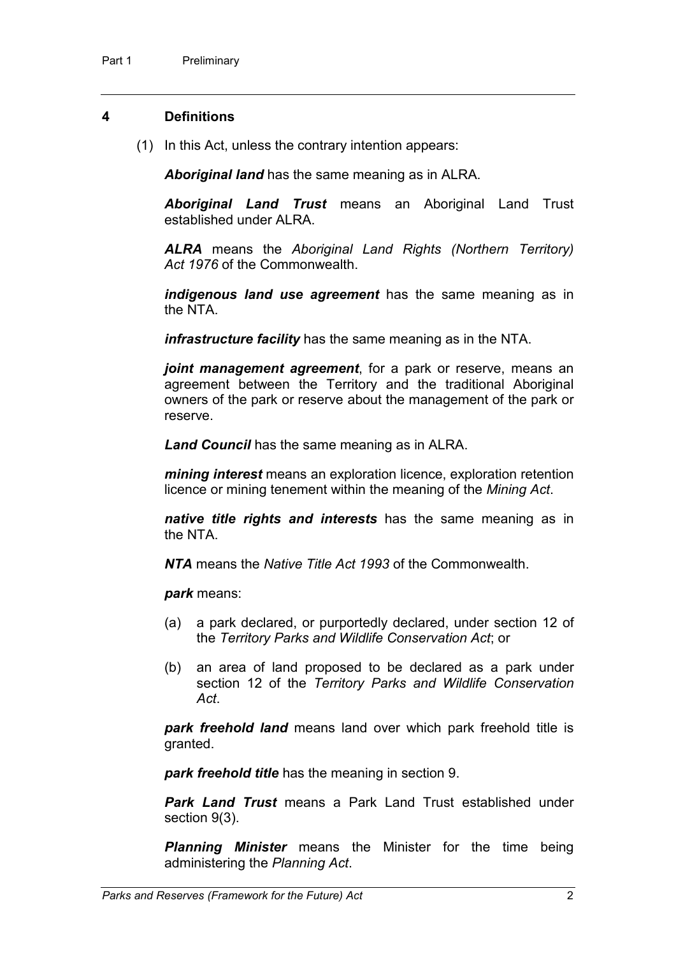#### **4 Definitions**

(1) In this Act, unless the contrary intention appears:

*Aboriginal land* has the same meaning as in ALRA.

*Aboriginal Land Trust* means an Aboriginal Land Trust established under ALRA.

*ALRA* means the *Aboriginal Land Rights (Northern Territory) Act 1976* of the Commonwealth.

*indigenous land use agreement* has the same meaning as in the NTA.

*infrastructure facility* has the same meaning as in the NTA.

*joint management agreement*, for a park or reserve, means an agreement between the Territory and the traditional Aboriginal owners of the park or reserve about the management of the park or reserve.

*Land Council* has the same meaning as in ALRA.

*mining interest* means an exploration licence, exploration retention licence or mining tenement within the meaning of the *Mining Act*.

*native title rights and interests* has the same meaning as in the NTA.

*NTA* means the *Native Title Act 1993* of the Commonwealth.

*park* means:

- (a) a park declared, or purportedly declared, under section 12 of the *Territory Parks and Wildlife Conservation Act*; or
- (b) an area of land proposed to be declared as a park under section 12 of the *Territory Parks and Wildlife Conservation Act*.

*park freehold land* means land over which park freehold title is granted.

*park freehold title* has the meaning in section 9.

*Park Land Trust* means a Park Land Trust established under section 9(3).

*Planning Minister* means the Minister for the time being administering the *Planning Act*.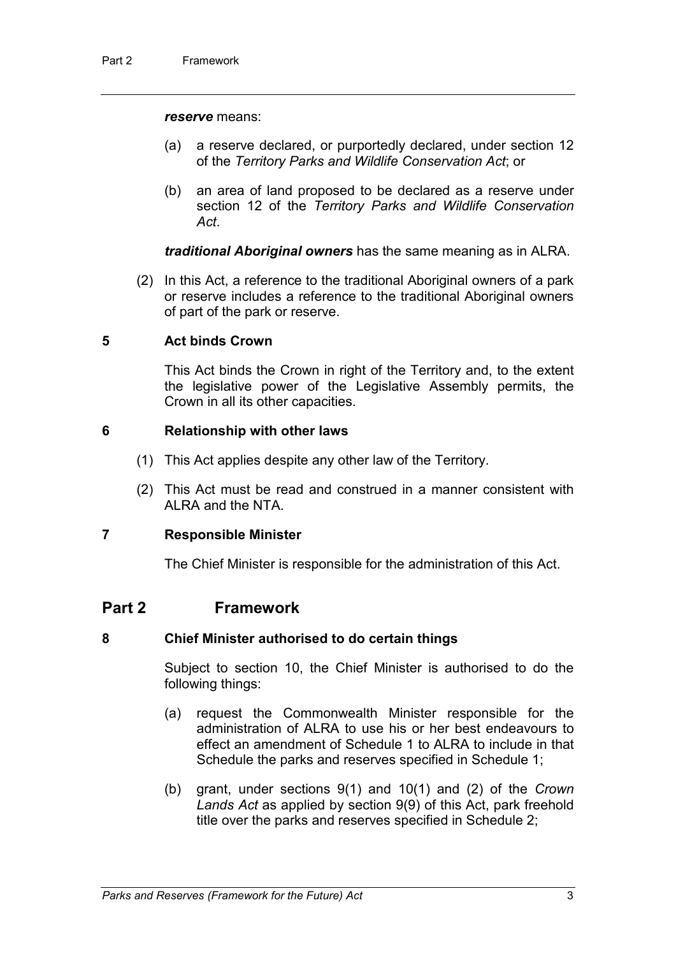#### *reserve* means:

- (a) a reserve declared, or purportedly declared, under section 12 of the *Territory Parks and Wildlife Conservation Act*; or
- (b) an area of land proposed to be declared as a reserve under section 12 of the *Territory Parks and Wildlife Conservation Act*.

*traditional Aboriginal owners* has the same meaning as in ALRA.

(2) In this Act, a reference to the traditional Aboriginal owners of a park or reserve includes a reference to the traditional Aboriginal owners of part of the park or reserve.

#### **5 Act binds Crown**

This Act binds the Crown in right of the Territory and, to the extent the legislative power of the Legislative Assembly permits, the Crown in all its other capacities.

#### **6 Relationship with other laws**

- (1) This Act applies despite any other law of the Territory.
- (2) This Act must be read and construed in a manner consistent with ALRA and the NTA.

#### **7 Responsible Minister**

The Chief Minister is responsible for the administration of this Act.

### **Part 2 Framework**

#### **8 Chief Minister authorised to do certain things**

Subject to section 10, the Chief Minister is authorised to do the following things:

- (a) request the Commonwealth Minister responsible for the administration of ALRA to use his or her best endeavours to effect an amendment of Schedule 1 to ALRA to include in that Schedule the parks and reserves specified in Schedule 1;
- (b) grant, under sections 9(1) and 10(1) and (2) of the *Crown Lands Act* as applied by section 9(9) of this Act, park freehold title over the parks and reserves specified in Schedule 2;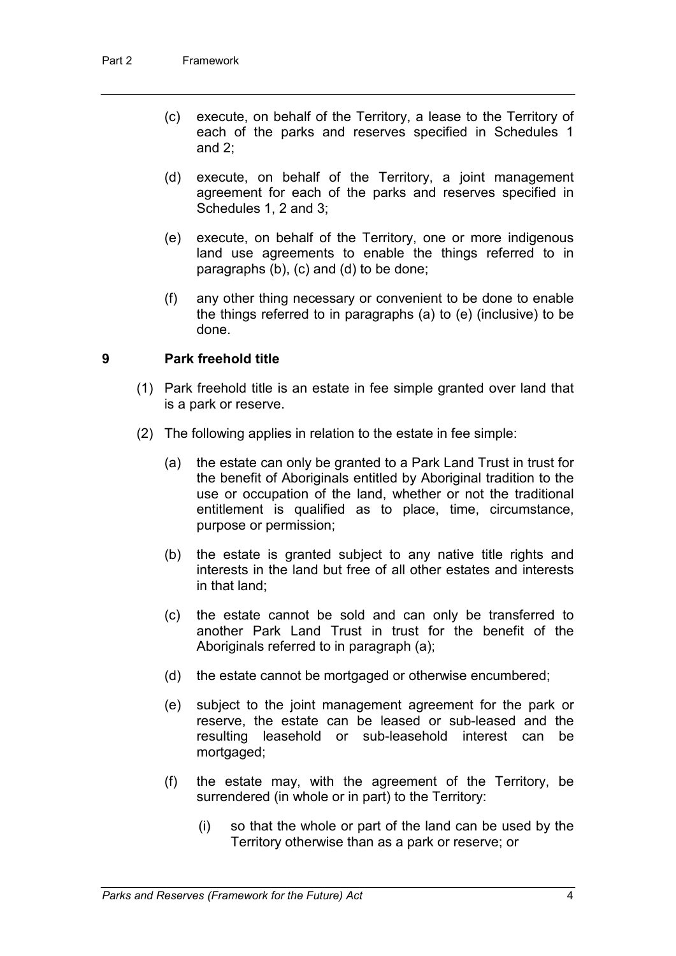- (c) execute, on behalf of the Territory, a lease to the Territory of each of the parks and reserves specified in Schedules 1 and 2;
- (d) execute, on behalf of the Territory, a joint management agreement for each of the parks and reserves specified in Schedules 1, 2 and 3;
- (e) execute, on behalf of the Territory, one or more indigenous land use agreements to enable the things referred to in paragraphs (b), (c) and (d) to be done;
- (f) any other thing necessary or convenient to be done to enable the things referred to in paragraphs (a) to (e) (inclusive) to be done.

#### **9 Park freehold title**

- (1) Park freehold title is an estate in fee simple granted over land that is a park or reserve.
- (2) The following applies in relation to the estate in fee simple:
	- (a) the estate can only be granted to a Park Land Trust in trust for the benefit of Aboriginals entitled by Aboriginal tradition to the use or occupation of the land, whether or not the traditional entitlement is qualified as to place, time, circumstance, purpose or permission;
	- (b) the estate is granted subject to any native title rights and interests in the land but free of all other estates and interests in that land;
	- (c) the estate cannot be sold and can only be transferred to another Park Land Trust in trust for the benefit of the Aboriginals referred to in paragraph (a);
	- (d) the estate cannot be mortgaged or otherwise encumbered;
	- (e) subject to the joint management agreement for the park or reserve, the estate can be leased or sub-leased and the resulting leasehold or sub-leasehold interest can be mortgaged;
	- (f) the estate may, with the agreement of the Territory, be surrendered (in whole or in part) to the Territory:
		- (i) so that the whole or part of the land can be used by the Territory otherwise than as a park or reserve; or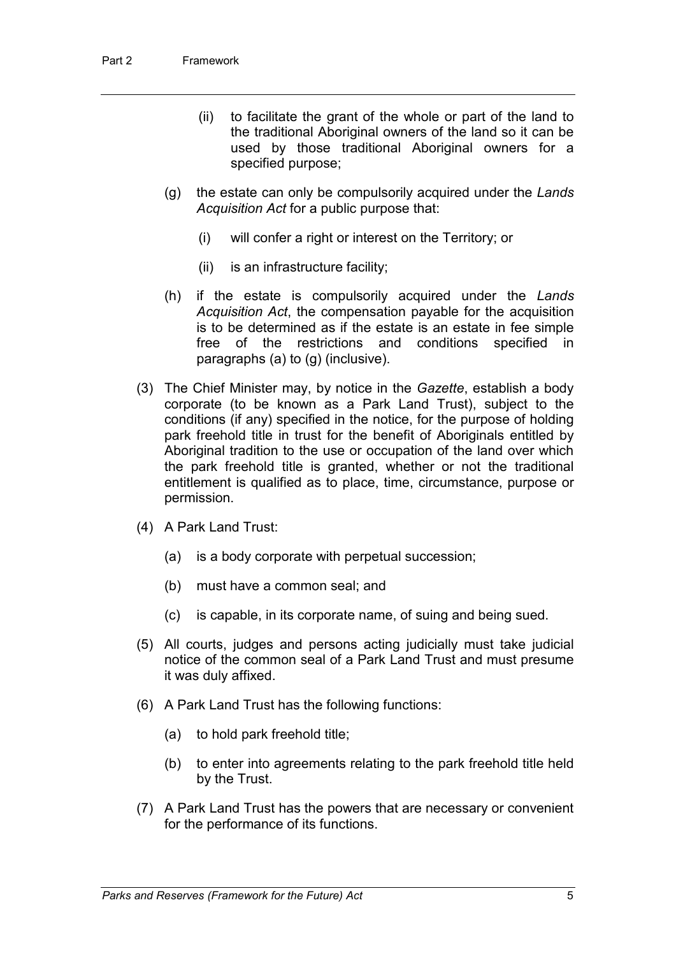- (ii) to facilitate the grant of the whole or part of the land to the traditional Aboriginal owners of the land so it can be used by those traditional Aboriginal owners for a specified purpose;
- (g) the estate can only be compulsorily acquired under the *Lands Acquisition Act* for a public purpose that:
	- (i) will confer a right or interest on the Territory; or
	- (ii) is an infrastructure facility;
- (h) if the estate is compulsorily acquired under the *Lands Acquisition Act*, the compensation payable for the acquisition is to be determined as if the estate is an estate in fee simple free of the restrictions and conditions specified in paragraphs (a) to (g) (inclusive).
- (3) The Chief Minister may, by notice in the *Gazette*, establish a body corporate (to be known as a Park Land Trust), subject to the conditions (if any) specified in the notice, for the purpose of holding park freehold title in trust for the benefit of Aboriginals entitled by Aboriginal tradition to the use or occupation of the land over which the park freehold title is granted, whether or not the traditional entitlement is qualified as to place, time, circumstance, purpose or permission.
- (4) A Park Land Trust:
	- (a) is a body corporate with perpetual succession;
	- (b) must have a common seal; and
	- (c) is capable, in its corporate name, of suing and being sued.
- (5) All courts, judges and persons acting judicially must take judicial notice of the common seal of a Park Land Trust and must presume it was duly affixed.
- (6) A Park Land Trust has the following functions:
	- (a) to hold park freehold title;
	- (b) to enter into agreements relating to the park freehold title held by the Trust.
- (7) A Park Land Trust has the powers that are necessary or convenient for the performance of its functions.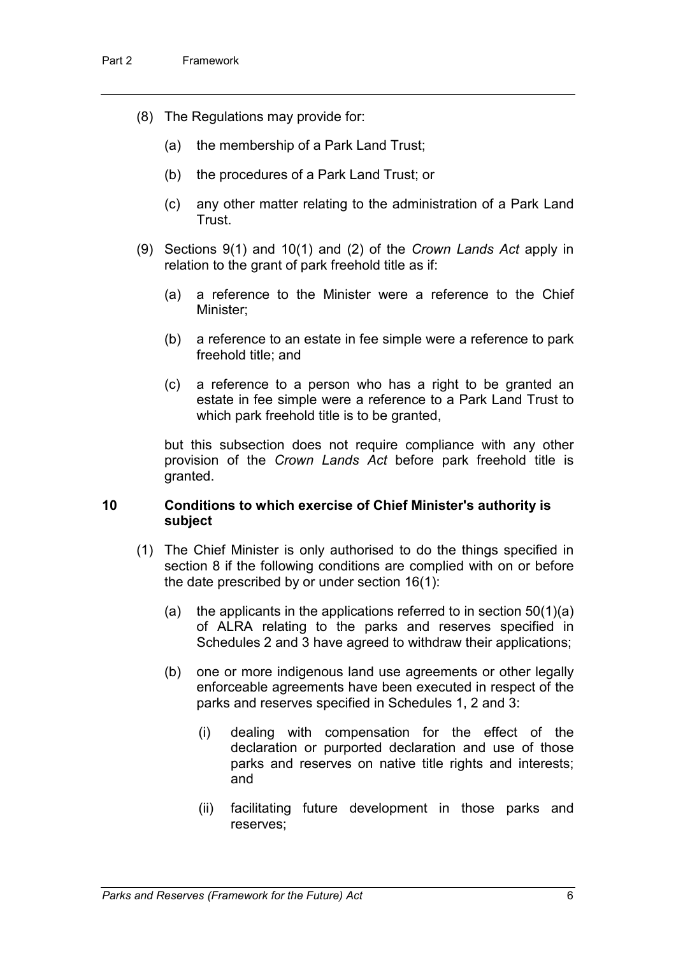- (8) The Regulations may provide for:
	- (a) the membership of a Park Land Trust;
	- (b) the procedures of a Park Land Trust; or
	- (c) any other matter relating to the administration of a Park Land **Trust**
- (9) Sections 9(1) and 10(1) and (2) of the *Crown Lands Act* apply in relation to the grant of park freehold title as if:
	- (a) a reference to the Minister were a reference to the Chief Minister;
	- (b) a reference to an estate in fee simple were a reference to park freehold title; and
	- (c) a reference to a person who has a right to be granted an estate in fee simple were a reference to a Park Land Trust to which park freehold title is to be granted,

but this subsection does not require compliance with any other provision of the *Crown Lands Act* before park freehold title is granted.

#### **10 Conditions to which exercise of Chief Minister's authority is subject**

- (1) The Chief Minister is only authorised to do the things specified in section 8 if the following conditions are complied with on or before the date prescribed by or under section 16(1):
	- (a) the applicants in the applications referred to in section  $50(1)(a)$ of ALRA relating to the parks and reserves specified in Schedules 2 and 3 have agreed to withdraw their applications;
	- (b) one or more indigenous land use agreements or other legally enforceable agreements have been executed in respect of the parks and reserves specified in Schedules 1, 2 and 3:
		- (i) dealing with compensation for the effect of the declaration or purported declaration and use of those parks and reserves on native title rights and interests; and
		- (ii) facilitating future development in those parks and reserves;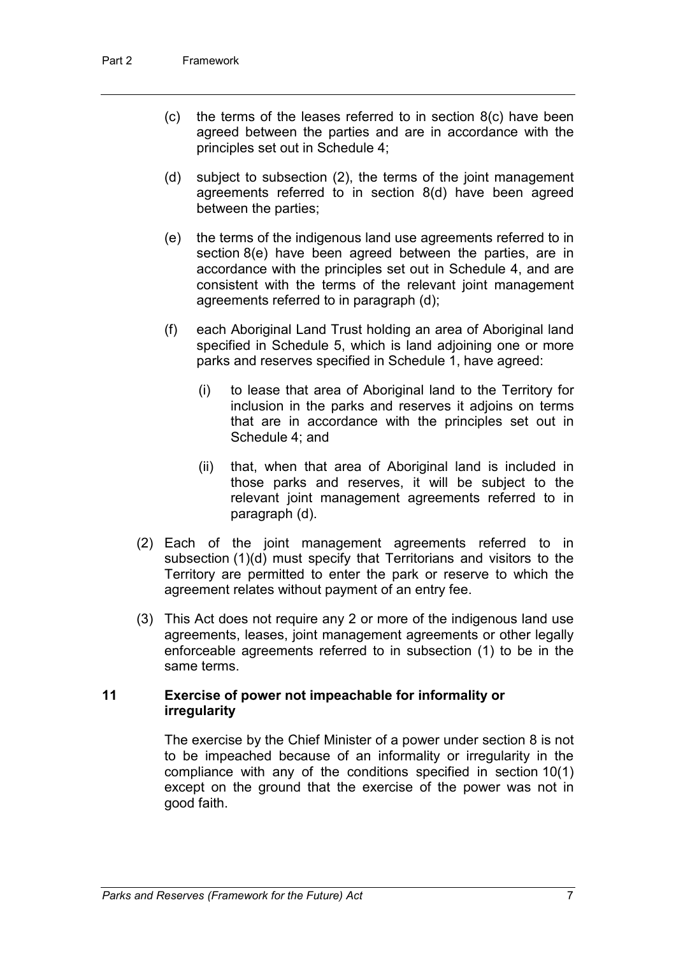- (c) the terms of the leases referred to in section  $8(c)$  have been agreed between the parties and are in accordance with the principles set out in Schedule 4;
- (d) subject to subsection (2), the terms of the joint management agreements referred to in section 8(d) have been agreed between the parties;
- (e) the terms of the indigenous land use agreements referred to in section 8(e) have been agreed between the parties, are in accordance with the principles set out in Schedule 4, and are consistent with the terms of the relevant joint management agreements referred to in paragraph (d);
- (f) each Aboriginal Land Trust holding an area of Aboriginal land specified in Schedule 5, which is land adjoining one or more parks and reserves specified in Schedule 1, have agreed:
	- (i) to lease that area of Aboriginal land to the Territory for inclusion in the parks and reserves it adjoins on terms that are in accordance with the principles set out in Schedule 4; and
	- (ii) that, when that area of Aboriginal land is included in those parks and reserves, it will be subject to the relevant joint management agreements referred to in paragraph (d).
- (2) Each of the joint management agreements referred to in subsection (1)(d) must specify that Territorians and visitors to the Territory are permitted to enter the park or reserve to which the agreement relates without payment of an entry fee.
- (3) This Act does not require any 2 or more of the indigenous land use agreements, leases, joint management agreements or other legally enforceable agreements referred to in subsection (1) to be in the same terms.

#### **11 Exercise of power not impeachable for informality or irregularity**

The exercise by the Chief Minister of a power under section 8 is not to be impeached because of an informality or irregularity in the compliance with any of the conditions specified in section 10(1) except on the ground that the exercise of the power was not in good faith.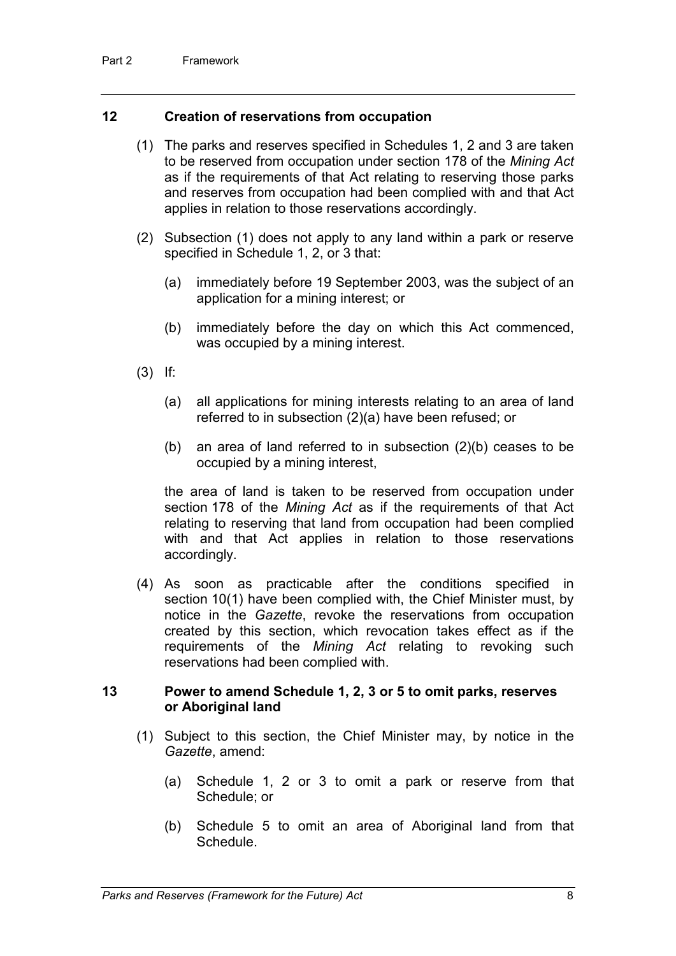#### **12 Creation of reservations from occupation**

- (1) The parks and reserves specified in Schedules 1, 2 and 3 are taken to be reserved from occupation under section 178 of the *Mining Act* as if the requirements of that Act relating to reserving those parks and reserves from occupation had been complied with and that Act applies in relation to those reservations accordingly.
- (2) Subsection (1) does not apply to any land within a park or reserve specified in Schedule 1, 2, or 3 that:
	- (a) immediately before 19 September 2003, was the subject of an application for a mining interest; or
	- (b) immediately before the day on which this Act commenced, was occupied by a mining interest.
- (3) If:
	- (a) all applications for mining interests relating to an area of land referred to in subsection (2)(a) have been refused; or
	- (b) an area of land referred to in subsection (2)(b) ceases to be occupied by a mining interest,

the area of land is taken to be reserved from occupation under section 178 of the *Mining Act* as if the requirements of that Act relating to reserving that land from occupation had been complied with and that Act applies in relation to those reservations accordingly.

(4) As soon as practicable after the conditions specified in section 10(1) have been complied with, the Chief Minister must, by notice in the *Gazette*, revoke the reservations from occupation created by this section, which revocation takes effect as if the requirements of the *Mining Act* relating to revoking such reservations had been complied with.

#### **13 Power to amend Schedule 1, 2, 3 or 5 to omit parks, reserves or Aboriginal land**

- (1) Subject to this section, the Chief Minister may, by notice in the *Gazette*, amend:
	- (a) Schedule 1, 2 or 3 to omit a park or reserve from that Schedule; or
	- (b) Schedule 5 to omit an area of Aboriginal land from that **Schedule**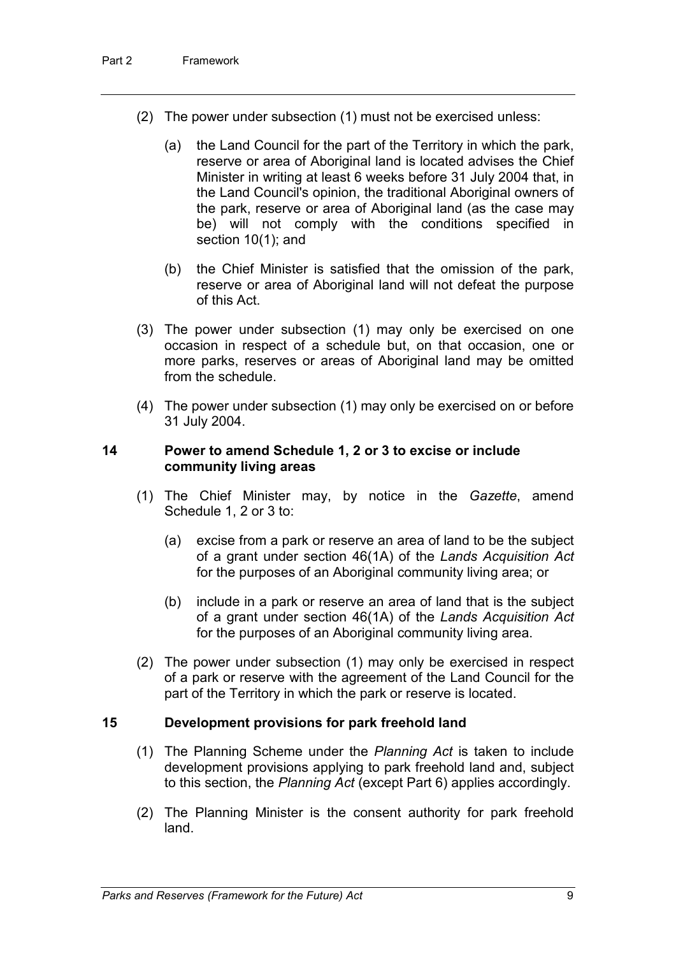- (2) The power under subsection (1) must not be exercised unless:
	- (a) the Land Council for the part of the Territory in which the park, reserve or area of Aboriginal land is located advises the Chief Minister in writing at least 6 weeks before 31 July 2004 that, in the Land Council's opinion, the traditional Aboriginal owners of the park, reserve or area of Aboriginal land (as the case may be) will not comply with the conditions specified in section 10(1); and
	- (b) the Chief Minister is satisfied that the omission of the park, reserve or area of Aboriginal land will not defeat the purpose of this Act.
- (3) The power under subsection (1) may only be exercised on one occasion in respect of a schedule but, on that occasion, one or more parks, reserves or areas of Aboriginal land may be omitted from the schedule.
- (4) The power under subsection (1) may only be exercised on or before 31 July 2004.

#### **14 Power to amend Schedule 1, 2 or 3 to excise or include community living areas**

- (1) The Chief Minister may, by notice in the *Gazette*, amend Schedule 1, 2 or 3 to:
	- (a) excise from a park or reserve an area of land to be the subject of a grant under section 46(1A) of the *Lands Acquisition Act* for the purposes of an Aboriginal community living area; or
	- (b) include in a park or reserve an area of land that is the subject of a grant under section 46(1A) of the *Lands Acquisition Act* for the purposes of an Aboriginal community living area.
- (2) The power under subsection (1) may only be exercised in respect of a park or reserve with the agreement of the Land Council for the part of the Territory in which the park or reserve is located.

#### **15 Development provisions for park freehold land**

- (1) The Planning Scheme under the *Planning Act* is taken to include development provisions applying to park freehold land and, subject to this section, the *Planning Act* (except Part 6) applies accordingly.
- (2) The Planning Minister is the consent authority for park freehold land.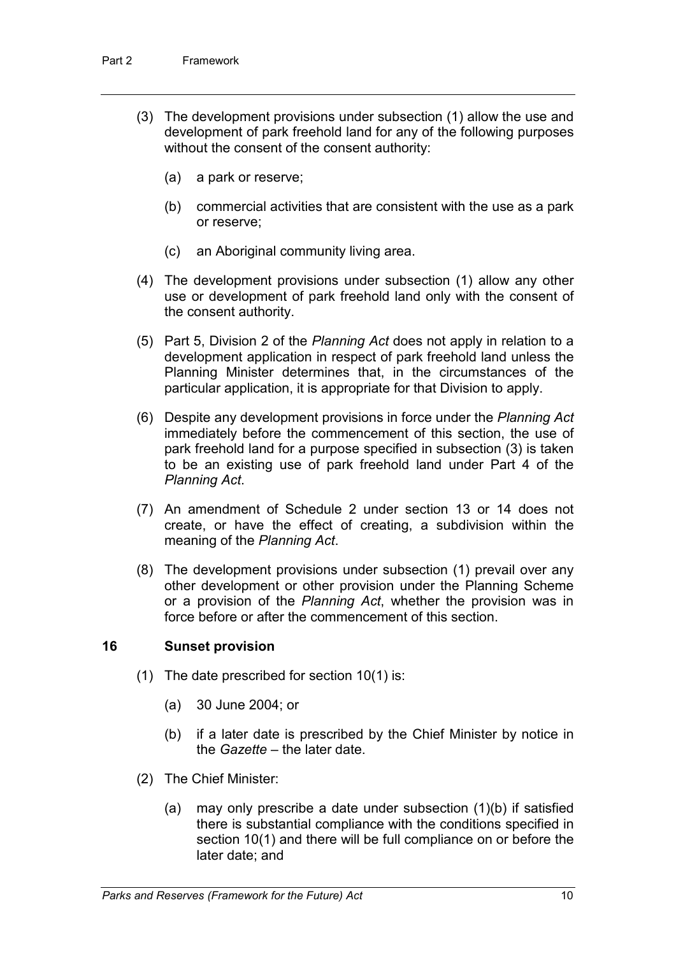- (3) The development provisions under subsection (1) allow the use and development of park freehold land for any of the following purposes without the consent of the consent authority:
	- (a) a park or reserve;
	- (b) commercial activities that are consistent with the use as a park or reserve;
	- (c) an Aboriginal community living area.
- (4) The development provisions under subsection (1) allow any other use or development of park freehold land only with the consent of the consent authority.
- (5) Part 5, Division 2 of the *Planning Act* does not apply in relation to a development application in respect of park freehold land unless the Planning Minister determines that, in the circumstances of the particular application, it is appropriate for that Division to apply.
- (6) Despite any development provisions in force under the *Planning Act* immediately before the commencement of this section, the use of park freehold land for a purpose specified in subsection (3) is taken to be an existing use of park freehold land under Part 4 of the *Planning Act*.
- (7) An amendment of Schedule 2 under section 13 or 14 does not create, or have the effect of creating, a subdivision within the meaning of the *Planning Act*.
- (8) The development provisions under subsection (1) prevail over any other development or other provision under the Planning Scheme or a provision of the *Planning Act*, whether the provision was in force before or after the commencement of this section.

#### **16 Sunset provision**

- (1) The date prescribed for section 10(1) is:
	- (a) 30 June 2004; or
	- (b) if a later date is prescribed by the Chief Minister by notice in the *Gazette* – the later date.
- (2) The Chief Minister:
	- (a) may only prescribe a date under subsection (1)(b) if satisfied there is substantial compliance with the conditions specified in section 10(1) and there will be full compliance on or before the later date; and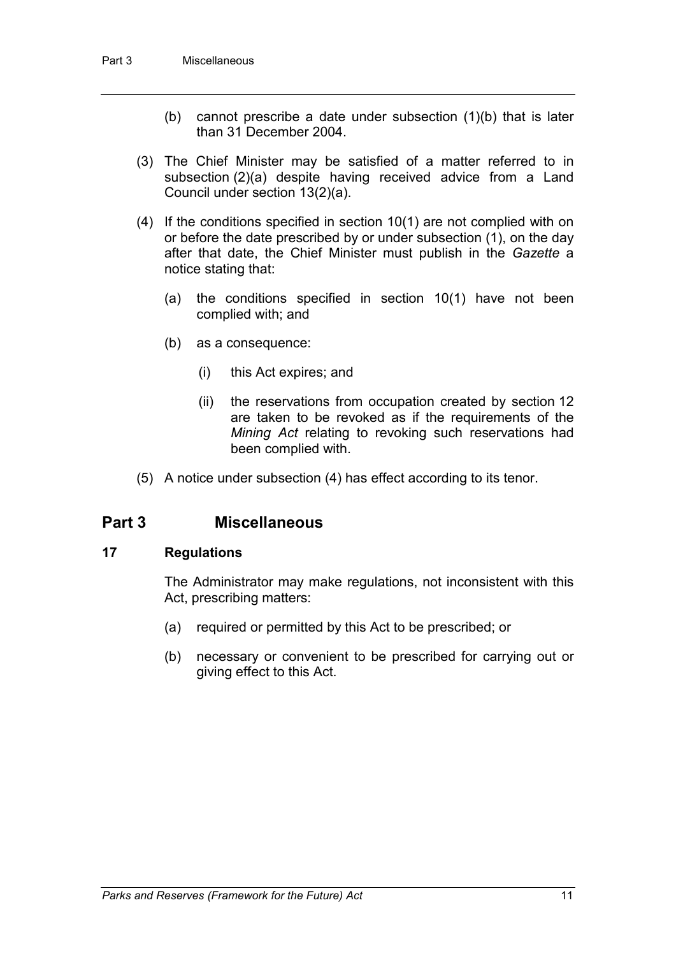- (b) cannot prescribe a date under subsection (1)(b) that is later than 31 December 2004.
- (3) The Chief Minister may be satisfied of a matter referred to in subsection (2)(a) despite having received advice from a Land Council under section 13(2)(a).
- (4) If the conditions specified in section 10(1) are not complied with on or before the date prescribed by or under subsection (1), on the day after that date, the Chief Minister must publish in the *Gazette* a notice stating that:
	- (a) the conditions specified in section 10(1) have not been complied with; and
	- (b) as a consequence:
		- (i) this Act expires; and
		- (ii) the reservations from occupation created by section 12 are taken to be revoked as if the requirements of the *Mining Act* relating to revoking such reservations had been complied with.
- (5) A notice under subsection (4) has effect according to its tenor.

## **Part 3 Miscellaneous**

#### **17 Regulations**

The Administrator may make regulations, not inconsistent with this Act, prescribing matters:

- (a) required or permitted by this Act to be prescribed; or
- (b) necessary or convenient to be prescribed for carrying out or giving effect to this Act.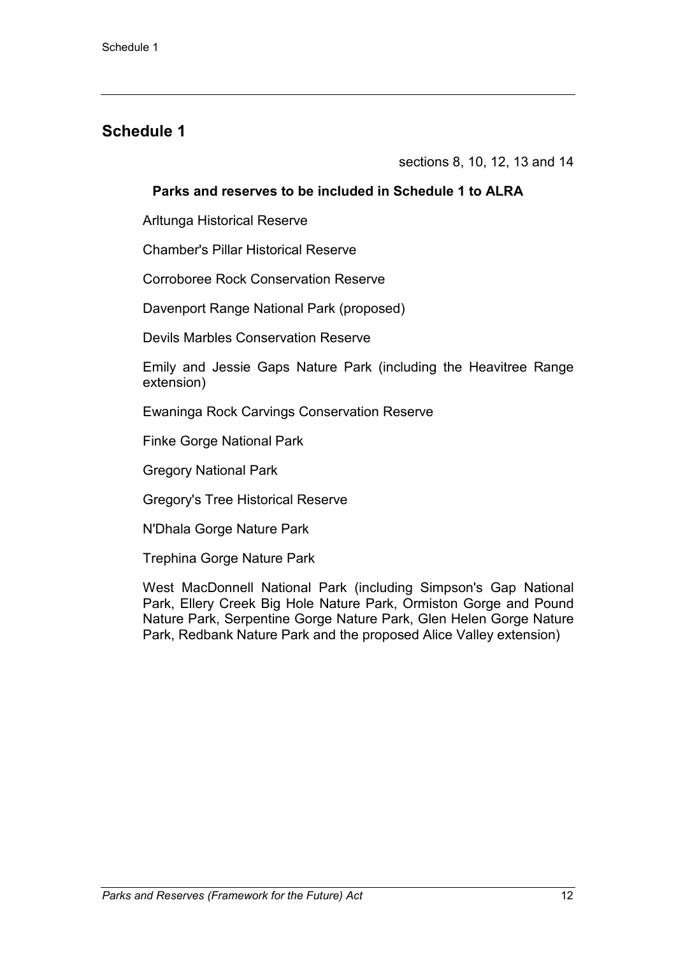sections 8, 10, 12, 13 and 14

### **Parks and reserves to be included in Schedule 1 to ALRA**

Arltunga Historical Reserve

Chamber's Pillar Historical Reserve

Corroboree Rock Conservation Reserve

Davenport Range National Park (proposed)

Devils Marbles Conservation Reserve

Emily and Jessie Gaps Nature Park (including the Heavitree Range extension)

Ewaninga Rock Carvings Conservation Reserve

Finke Gorge National Park

Gregory National Park

Gregory's Tree Historical Reserve

N'Dhala Gorge Nature Park

Trephina Gorge Nature Park

West MacDonnell National Park (including Simpson's Gap National Park, Ellery Creek Big Hole Nature Park, Ormiston Gorge and Pound Nature Park, Serpentine Gorge Nature Park, Glen Helen Gorge Nature Park, Redbank Nature Park and the proposed Alice Valley extension)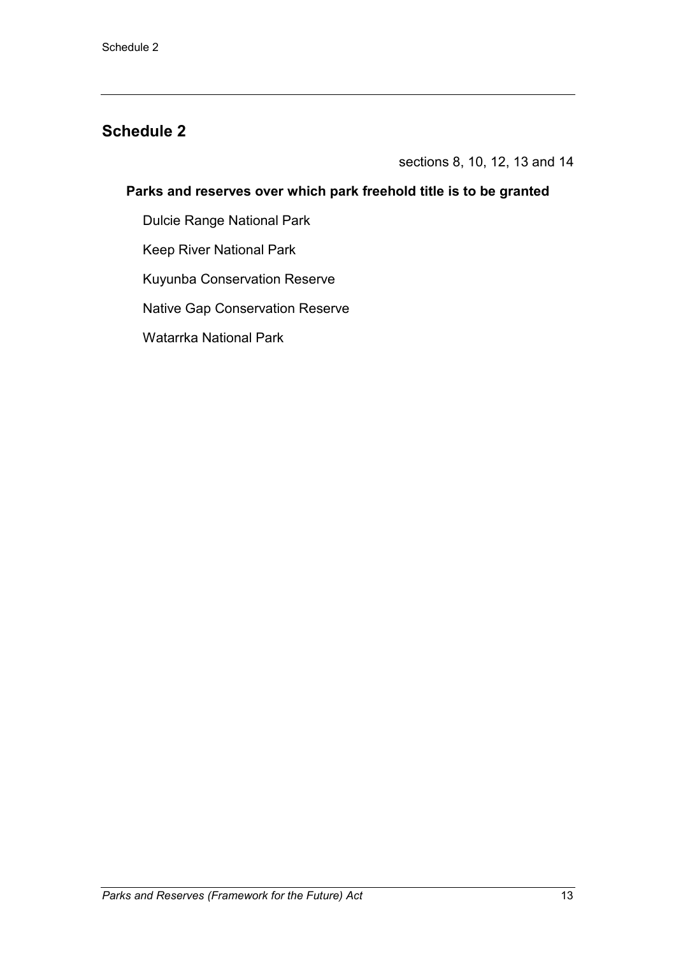sections 8, 10, 12, 13 and 14

### **Parks and reserves over which park freehold title is to be granted**

Dulcie Range National Park

Keep River National Park

Kuyunba Conservation Reserve

Native Gap Conservation Reserve

Watarrka National Park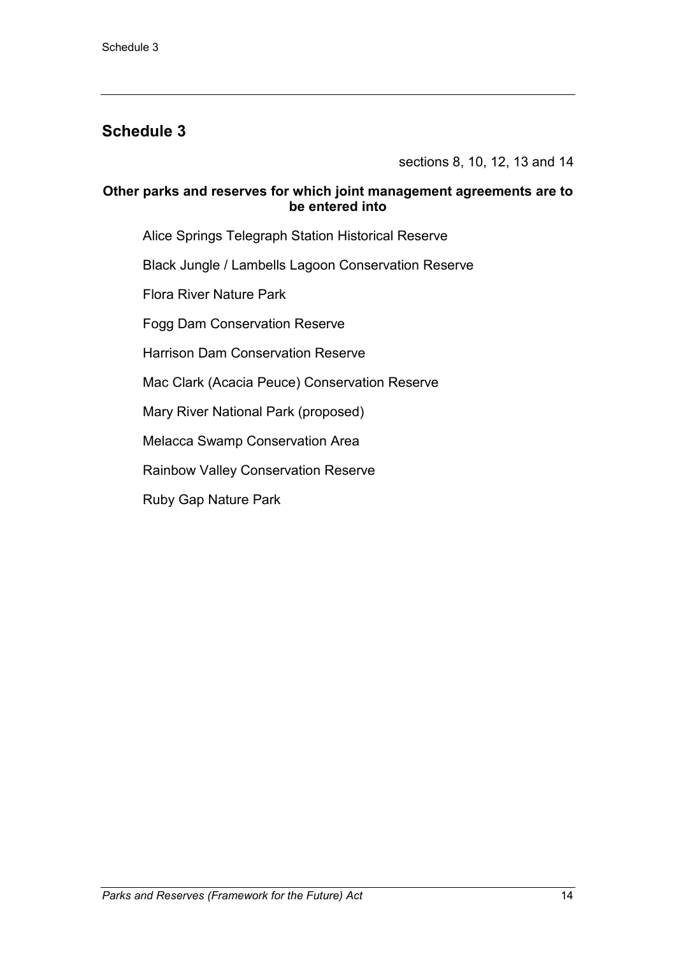sections 8, 10, 12, 13 and 14

#### **Other parks and reserves for which joint management agreements are to be entered into**

Alice Springs Telegraph Station Historical Reserve

Black Jungle / Lambells Lagoon Conservation Reserve

Flora River Nature Park

Fogg Dam Conservation Reserve

Harrison Dam Conservation Reserve

Mac Clark (Acacia Peuce) Conservation Reserve

Mary River National Park (proposed)

Melacca Swamp Conservation Area

Rainbow Valley Conservation Reserve

Ruby Gap Nature Park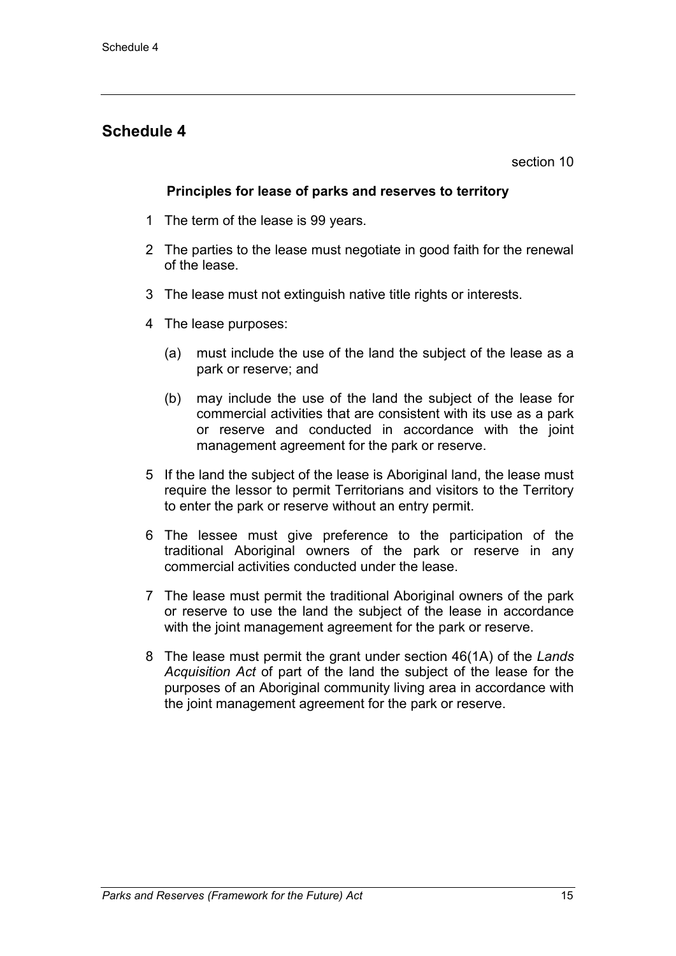section 10

#### **Principles for lease of parks and reserves to territory**

- 1 The term of the lease is 99 years.
- 2 The parties to the lease must negotiate in good faith for the renewal of the lease.
- 3 The lease must not extinguish native title rights or interests.
- 4 The lease purposes:
	- (a) must include the use of the land the subject of the lease as a park or reserve; and
	- (b) may include the use of the land the subject of the lease for commercial activities that are consistent with its use as a park or reserve and conducted in accordance with the joint management agreement for the park or reserve.
- 5 If the land the subject of the lease is Aboriginal land, the lease must require the lessor to permit Territorians and visitors to the Territory to enter the park or reserve without an entry permit.
- 6 The lessee must give preference to the participation of the traditional Aboriginal owners of the park or reserve in any commercial activities conducted under the lease.
- 7 The lease must permit the traditional Aboriginal owners of the park or reserve to use the land the subject of the lease in accordance with the joint management agreement for the park or reserve.
- 8 The lease must permit the grant under section 46(1A) of the *Lands Acquisition Act* of part of the land the subject of the lease for the purposes of an Aboriginal community living area in accordance with the joint management agreement for the park or reserve.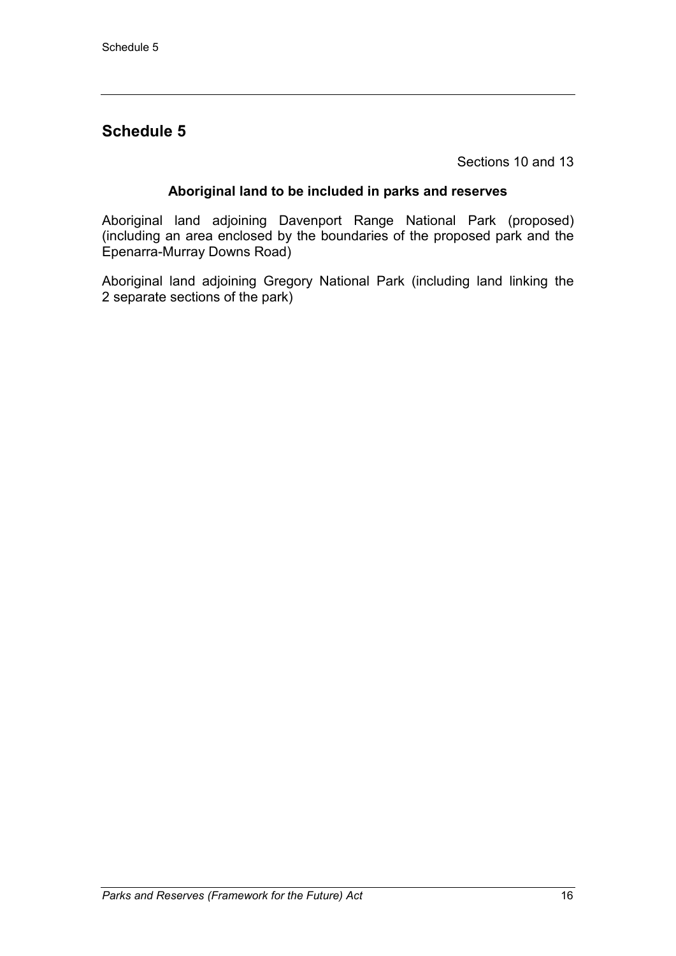Sections 10 and 13

#### **Aboriginal land to be included in parks and reserves**

Aboriginal land adjoining Davenport Range National Park (proposed) (including an area enclosed by the boundaries of the proposed park and the Epenarra-Murray Downs Road)

Aboriginal land adjoining Gregory National Park (including land linking the 2 separate sections of the park)